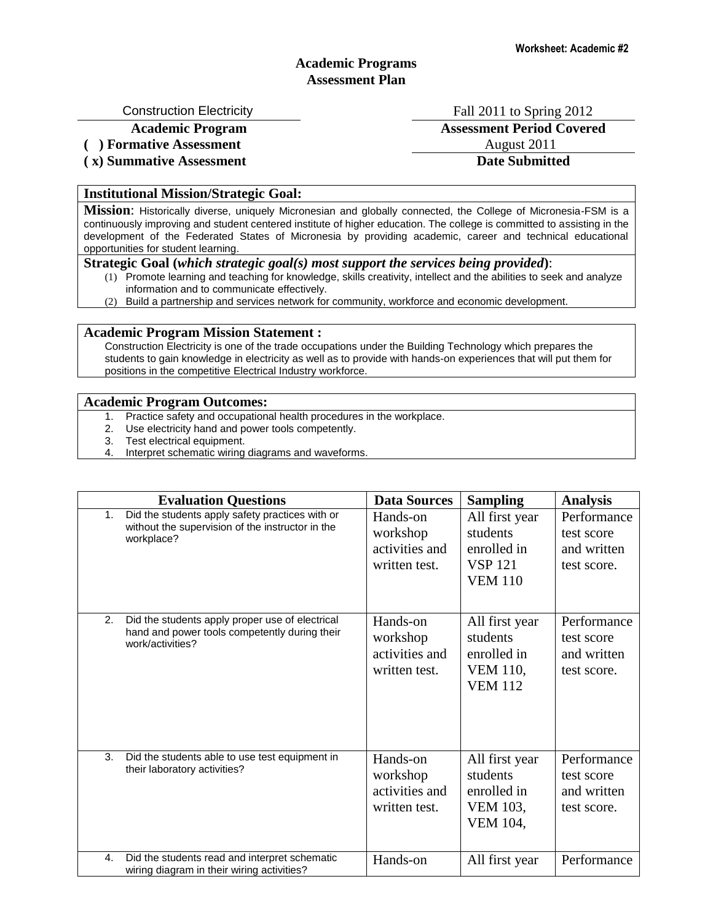## **Academic Programs Assessment Plan**

Construction Electricity **Fall 2011** to Spring 2012

**Academic Program Assessment Period Covered**

# **( x) Summative Assessment Date Submitted**

(a) **Formative Assessment** August 2011

#### **Institutional Mission/Strategic Goal:**

**Mission**: Historically diverse, uniquely Micronesian and globally connected, the College of Micronesia-FSM is a continuously improving and student centered institute of higher education. The college is committed to assisting in the development of the Federated States of Micronesia by providing academic, career and technical educational opportunities for student learning.

#### **Strategic Goal (***which strategic goal(s) most support the services being provided***)**:

- (1) Promote learning and teaching for knowledge, skills creativity, intellect and the abilities to seek and analyze information and to communicate effectively.
- (2) Build a partnership and services network for community, workforce and economic development.

### **Academic Program Mission Statement :**

Construction Electricity is one of the trade occupations under the Building Technology which prepares the students to gain knowledge in electricity as well as to provide with hands-on experiences that will put them for positions in the competitive Electrical Industry workforce.

#### **Academic Program Outcomes:**

- 1. Practice safety and occupational health procedures in the workplace.
- 2. Use electricity hand and power tools competently.
- 3. Test electrical equipment.
- 4. Interpret schematic wiring diagrams and waveforms.

| <b>Evaluation Questions</b> |                                                                                                                      | <b>Data Sources</b>                                     | <b>Sampling</b>                                                                | <b>Analysis</b>                                         |
|-----------------------------|----------------------------------------------------------------------------------------------------------------------|---------------------------------------------------------|--------------------------------------------------------------------------------|---------------------------------------------------------|
| 1.                          | Did the students apply safety practices with or<br>without the supervision of the instructor in the<br>workplace?    | Hands-on<br>workshop<br>activities and<br>written test. | All first year<br>students<br>enrolled in<br><b>VSP 121</b><br><b>VEM 110</b>  | Performance<br>test score<br>and written<br>test score. |
| 2.                          | Did the students apply proper use of electrical<br>hand and power tools competently during their<br>work/activities? | Hands-on<br>workshop<br>activities and<br>written test. | All first year<br>students<br>enrolled in<br><b>VEM 110,</b><br><b>VEM 112</b> | Performance<br>test score<br>and written<br>test score. |
| 3.                          | Did the students able to use test equipment in<br>their laboratory activities?                                       | Hands-on<br>workshop<br>activities and<br>written test. | All first year<br>students<br>enrolled in<br><b>VEM 103,</b><br>VEM 104,       | Performance<br>test score<br>and written<br>test score. |
| $\mathbf{4}$ .              | Did the students read and interpret schematic<br>wiring diagram in their wiring activities?                          | Hands-on                                                | All first year                                                                 | Performance                                             |